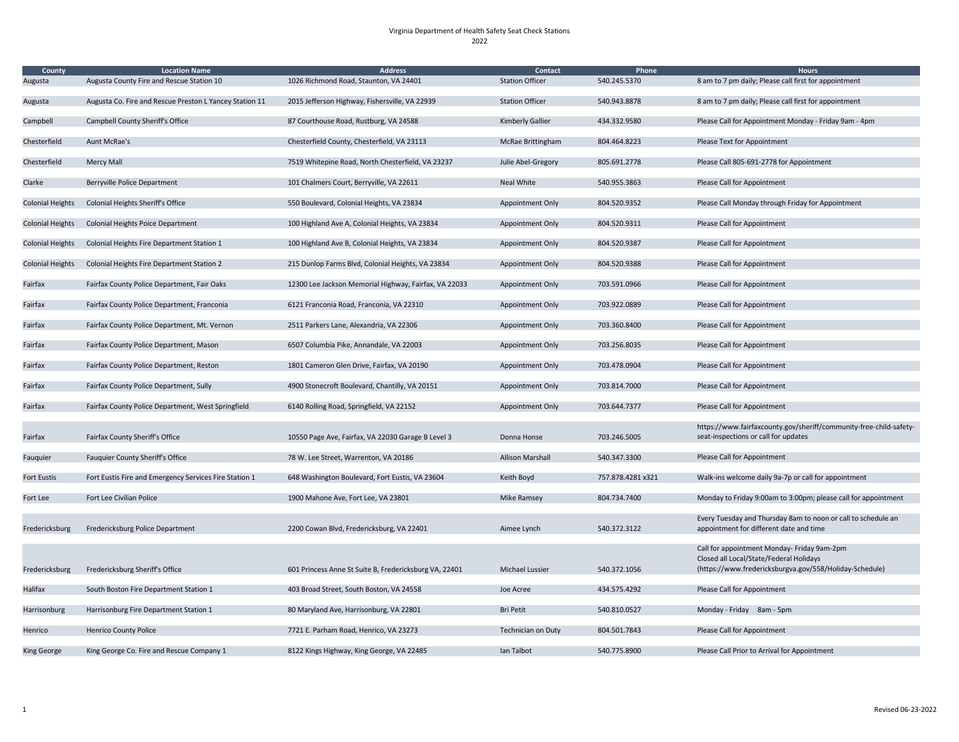## Virginia Department of Health Safety Seat Check Stations 2022

| <b>County</b>           | <b>Location Name</b>                                    | <b>Address</b>                                         | <b>Contact</b>          | Phone            | <b>Hours</b>                                                                                                                                      |
|-------------------------|---------------------------------------------------------|--------------------------------------------------------|-------------------------|------------------|---------------------------------------------------------------------------------------------------------------------------------------------------|
| Augusta                 | Augusta County Fire and Rescue Station 10               | 1026 Richmond Road, Staunton, VA 24401                 | <b>Station Officer</b>  | 540.245.5370     | 8 am to 7 pm daily; Please call first for appointment                                                                                             |
| Augusta                 | Augusta Co. Fire and Rescue Preston L Yancey Station 11 | 2015 Jefferson Highway, Fishersville, VA 22939         | <b>Station Officer</b>  | 540.943.8878     | 8 am to 7 pm daily; Please call first for appointment                                                                                             |
| Campbell                | <b>Campbell County Sheriff's Office</b>                 | 87 Courthouse Road, Rustburg, VA 24588                 | <b>Kimberly Gallier</b> | 434.332.9580     | Please Call for Appointment Monday - Friday 9am - 4pm                                                                                             |
| Chesterfield            | Aunt McRae's                                            | Chesterfield County, Chesterfield, VA 23113            | McRae Brittingham       | 804.464.8223     | Please Text for Appointment                                                                                                                       |
| Chesterfield            | <b>Mercy Mall</b>                                       | 7519 Whitepine Road, North Chesterfield, VA 23237      | Julie Abel-Gregory      | 805.691.2778     | Please Call 805-691-2778 for Appointment                                                                                                          |
| Clarke                  | Berryville Police Department                            | 101 Chalmers Court, Berryville, VA 22611               | Neal White              | 540.955.3863     | Please Call for Appointment                                                                                                                       |
| <b>Colonial Heights</b> | <b>Colonial Heights Sheriff's Office</b>                | 550 Boulevard, Colonial Heights, VA 23834              | <b>Appointment Only</b> | 804.520.9352     | Please Call Monday through Friday for Appointment                                                                                                 |
| <b>Colonial Heights</b> | <b>Colonial Heights Poice Department</b>                | 100 Highland Ave A, Colonial Heights, VA 23834         | <b>Appointment Only</b> | 804.520.9311     | Please Call for Appointment                                                                                                                       |
| <b>Colonial Heights</b> | Colonial Heights Fire Department Station 1              | 100 Highland Ave B, Colonial Heights, VA 23834         | <b>Appointment Only</b> | 804.520.9387     | Please Call for Appointment                                                                                                                       |
| <b>Colonial Heights</b> | Colonial Heights Fire Department Station 2              | 215 Dunlop Farms Blvd, Colonial Heights, VA 23834      | Appointment Only        | 804.520.9388     | Please Call for Appointment                                                                                                                       |
| Fairfax                 | Fairfax County Police Department, Fair Oaks             | 12300 Lee Jackson Memorial Highway, Fairfax, VA 22033  | <b>Appointment Only</b> | 703.591.0966     | Please Call for Appointment                                                                                                                       |
| Fairfax                 | Fairfax County Police Department, Franconia             | 6121 Franconia Road, Franconia, VA 22310               | <b>Appointment Only</b> | 703.922.0889     | Please Call for Appointment                                                                                                                       |
| Fairfax                 | Fairfax County Police Department, Mt. Vernon            | 2511 Parkers Lane, Alexandria, VA 22306                | <b>Appointment Only</b> | 703.360.8400     | Please Call for Appointment                                                                                                                       |
| Fairfax                 | Fairfax County Police Department, Mason                 | 6507 Columbia Pike, Annandale, VA 22003                | <b>Appointment Only</b> | 703.256.8035     | Please Call for Appointment                                                                                                                       |
| Fairfax                 | Fairfax County Police Department, Reston                | 1801 Cameron Glen Drive, Fairfax, VA 20190             | <b>Appointment Only</b> | 703.478.0904     | Please Call for Appointment                                                                                                                       |
| Fairfax                 | Fairfax County Police Department, Sully                 | 4900 Stonecroft Boulevard, Chantilly, VA 20151         | Appointment Only        | 703.814.7000     | Please Call for Appointment                                                                                                                       |
| Fairfax                 | Fairfax County Police Department, West Springfield      | 6140 Rolling Road, Springfield, VA 22152               | Appointment Only        | 703.644.7377     | Please Call for Appointment                                                                                                                       |
| Fairfax                 | Fairfax County Sheriff's Office                         | 10550 Page Ave, Fairfax, VA 22030 Garage B Level 3     | Donna Honse             | 703.246.5005     | https://www.fairfaxcounty.gov/sheriff/community-free-child-safety-<br>seat-inspections or call for updates                                        |
| Fauquier                | <b>Fauquier County Sheriff's Office</b>                 | 78 W. Lee Street, Warrenton, VA 20186                  | <b>Allison Marshall</b> | 540.347.3300     | Please Call for Appointment                                                                                                                       |
| <b>Fort Eustis</b>      | Fort Eustis Fire and Emergency Services Fire Station 1  | 648 Washington Boulevard, Fort Eustis, VA 23604        | Keith Boyd              | 757.878.4281x321 | Walk-ins welcome daily 9a-7p or call for appointment                                                                                              |
| Fort Lee                | Fort Lee Civilian Police                                | 1900 Mahone Ave, Fort Lee, VA 23801                    | Mike Ramsey             | 804.734.7400     | Monday to Friday 9:00am to 3:00pm; please call for appointment                                                                                    |
| Fredericksburg          | Fredericksburg Police Department                        | 2200 Cowan Blvd, Fredericksburg, VA 22401              | Aimee Lynch             | 540.372.3122     | Every Tuesday and Thursday 8am to noon or call to schedule an<br>appointment for different date and time                                          |
| Fredericksburg          | Fredericksburg Sheriff's Office                         | 601 Princess Anne St Suite B, Fredericksburg VA, 22401 | Michael Lussier         | 540.372.1056     | Call for appointment Monday- Friday 9am-2pm<br>Closed all Local/State/Federal Holidays<br>(https://www.fredericksburgva.gov/558/Holiday-Schedule) |
| Halifax                 | South Boston Fire Department Station 1                  | 403 Broad Street, South Boston, VA 24558               | Joe Acree               | 434.575.4292     | Please Call for Appointment                                                                                                                       |
|                         |                                                         |                                                        |                         |                  |                                                                                                                                                   |
| Harrisonburg            | Harrisonburg Fire Department Station 1                  | 80 Maryland Ave, Harrisonburg, VA 22801                | <b>Bri Petit</b>        | 540.810.0527     | Monday - Friday 8am - 5pm                                                                                                                         |
| Henrico                 | <b>Henrico County Police</b>                            | 7721 E. Parham Road, Henrico, VA 23273                 | Technician on Duty      | 804.501.7843     | Please Call for Appointment                                                                                                                       |
| <b>King George</b>      | King George Co. Fire and Rescue Company 1               | 8122 Kings Highway, King George, VA 22485              | Ian Talbot              | 540.775.8900     | Please Call Prior to Arrival for Appointment                                                                                                      |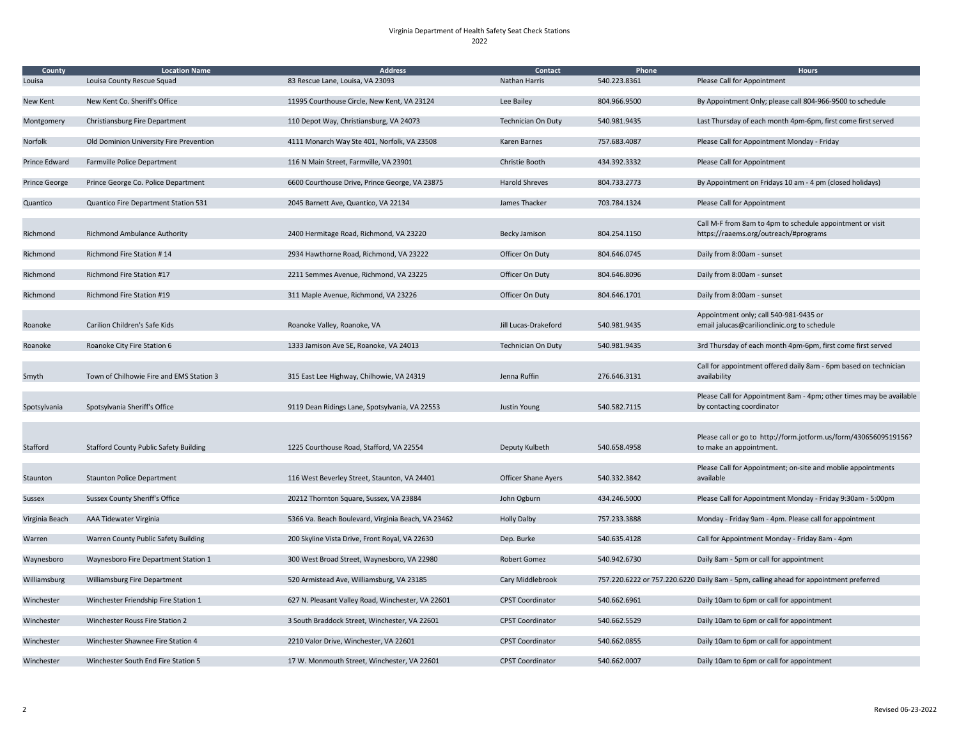Virginia Department of Health Safety Seat Check Stations 2022

| none | <b>Hours</b><br>Please Call for Appointment                                                        |
|------|----------------------------------------------------------------------------------------------------|
|      |                                                                                                    |
|      | By Appointment Only; please call 804-966-9500 to schedule                                          |
|      | Last Thursday of each month 4pm-6pm, first come first served                                       |
|      | Please Call for Appointment Monday - Friday                                                        |
|      | Please Call for Appointment                                                                        |
|      | By Appointment on Fridays 10 am - 4 pm (closed holidays)                                           |
|      | Please Call for Appointment                                                                        |
|      | Call M-F from 8am to 4pm to schedule appointment or visit<br>https://raaems.org/outreach/#programs |
|      | Daily from 8:00am - sunset                                                                         |
|      | Daily from 8:00am - sunset                                                                         |
|      | Daily from 8:00am - sunset                                                                         |
|      | Appointment only; call 540-981-9435 or<br>email jalucas@carilionclinic.org to schedule             |
|      | 3rd Thursday of each month 4pm-6pm, first come first served                                        |
|      | Call for appointment offered daily 8am - 6pm based on technician<br>availability                   |
|      | Please Call for Appointment 8am - 4pm; other times may be available<br>by contacting coordinator   |
|      | Please call or go to http://form.jotform.us/form/43065609519156?<br>to make an appointment.        |
|      | Please Call for Appointment; on-site and moblie appointments<br>available                          |
|      | Please Call for Appointment Monday - Friday 9:30am - 5:00pm                                        |
|      | Monday - Friday 9am - 4pm. Please call for appointment                                             |
|      | Call for Appointment Monday - Friday 8am - 4pm                                                     |
|      | Daily 8am - 5pm or call for appointment                                                            |
|      | or 757.220.6220 Daily 8am - 5pm, calling ahead for appointment preferred                           |
|      | Daily 10am to 6pm or call for appointment                                                          |
|      | Daily 10am to 6pm or call for appointment                                                          |
|      | Daily 10am to 6pm or call for appointment                                                          |
|      | Daily 10am to 6pm or call for appointment                                                          |
|      |                                                                                                    |

| County<br>Louisa     | <b>Location Name</b><br>Louisa County Rescue Squad | <b>Address</b><br>83 Rescue Lane, Louisa, VA 23093 | <b>Contact</b><br><b>Nathan Harris</b> | Phone<br>540.223.8361 | <b>Hours</b><br>Please Call for Appointment                                                        |
|----------------------|----------------------------------------------------|----------------------------------------------------|----------------------------------------|-----------------------|----------------------------------------------------------------------------------------------------|
| <b>New Kent</b>      | New Kent Co. Sheriff's Office                      | 11995 Courthouse Circle, New Kent, VA 23124        | Lee Bailey                             | 804.966.9500          | By Appointment Only; please call 804-966-9500 to schedule                                          |
| Montgomery           | Christiansburg Fire Department                     | 110 Depot Way, Christiansburg, VA 24073            | <b>Technician On Duty</b>              | 540.981.9435          | Last Thursday of each month 4pm-6pm, first come first served                                       |
| Norfolk              | Old Dominion University Fire Prevention            | 4111 Monarch Way Ste 401, Norfolk, VA 23508        | Karen Barnes                           | 757.683.4087          | Please Call for Appointment Monday - Friday                                                        |
| <b>Prince Edward</b> | <b>Farmville Police Department</b>                 | 116 N Main Street, Farmville, VA 23901             | Christie Booth                         | 434.392.3332          | Please Call for Appointment                                                                        |
| <b>Prince George</b> | Prince George Co. Police Department                | 6600 Courthouse Drive, Prince George, VA 23875     | <b>Harold Shreves</b>                  | 804.733.2773          | By Appointment on Fridays 10 am - 4 pm (closed holidays)                                           |
| Quantico             | Quantico Fire Department Station 531               | 2045 Barnett Ave, Quantico, VA 22134               | James Thacker                          | 703.784.1324          | Please Call for Appointment                                                                        |
| Richmond             | <b>Richmond Ambulance Authority</b>                | 2400 Hermitage Road, Richmond, VA 23220            | Becky Jamison                          | 804.254.1150          | Call M-F from 8am to 4pm to schedule appointment or visit<br>https://raaems.org/outreach/#programs |
| Richmond             | <b>Richmond Fire Station #14</b>                   | 2934 Hawthorne Road, Richmond, VA 23222            | Officer On Duty                        | 804.646.0745          | Daily from 8:00am - sunset                                                                         |
| Richmond             | <b>Richmond Fire Station #17</b>                   | 2211 Semmes Avenue, Richmond, VA 23225             | Officer On Duty                        | 804.646.8096          | Daily from 8:00am - sunset                                                                         |
| Richmond             | <b>Richmond Fire Station #19</b>                   | 311 Maple Avenue, Richmond, VA 23226               | Officer On Duty                        | 804.646.1701          | Daily from 8:00am - sunset                                                                         |
| Roanoke              | <b>Carilion Children's Safe Kids</b>               | Roanoke Valley, Roanoke, VA                        | Jill Lucas-Drakeford                   | 540.981.9435          | Appointment only; call 540-981-9435 or<br>email jalucas@carilionclinic.org to schedule             |
| Roanoke              | Roanoke City Fire Station 6                        | 1333 Jamison Ave SE, Roanoke, VA 24013             | <b>Technician On Duty</b>              | 540.981.9435          | 3rd Thursday of each month 4pm-6pm, first come first served                                        |
| Smyth                | Town of Chilhowie Fire and EMS Station 3           | 315 East Lee Highway, Chilhowie, VA 24319          | Jenna Ruffin                           | 276.646.3131          | Call for appointment offered daily 8am - 6pm based on technic<br>availability                      |
| Spotsylvania         | Spotsylvania Sheriff's Office                      | 9119 Dean Ridings Lane, Spotsylvania, VA 22553     | Justin Young                           | 540.582.7115          | Please Call for Appointment 8am - 4pm; other times may be a<br>by contacting coordinator           |
| <b>Stafford</b>      | <b>Stafford County Public Safety Building</b>      | 1225 Courthouse Road, Stafford, VA 22554           | Deputy Kulbeth                         | 540.658.4958          | Please call or go to http://form.jotform.us/form/4306560951<br>to make an appointment.             |
| Staunton             | <b>Staunton Police Department</b>                  | 116 West Beverley Street, Staunton, VA 24401       | <b>Officer Shane Ayers</b>             | 540.332.3842          | Please Call for Appointment; on-site and moblie appointments<br>available                          |
| <b>Sussex</b>        | <b>Sussex County Sheriff's Office</b>              | 20212 Thornton Square, Sussex, VA 23884            | John Ogburn                            | 434.246.5000          | Please Call for Appointment Monday - Friday 9:30am - 5:00pm                                        |
| Virginia Beach       | AAA Tidewater Virginia                             | 5366 Va. Beach Boulevard, Virginia Beach, VA 23462 | <b>Holly Dalby</b>                     | 757.233.3888          | Monday - Friday 9am - 4pm. Please call for appointment                                             |
| Warren               | Warren County Public Safety Building               | 200 Skyline Vista Drive, Front Royal, VA 22630     | Dep. Burke                             | 540.635.4128          | Call for Appointment Monday - Friday 8am - 4pm                                                     |
| Waynesboro           | Waynesboro Fire Department Station 1               | 300 West Broad Street, Waynesboro, VA 22980        | Robert Gomez                           | 540.942.6730          | Daily 8am - 5pm or call for appointment                                                            |
| Williamsburg         | Williamsburg Fire Department                       | 520 Armistead Ave, Williamsburg, VA 23185          | Cary Middlebrook                       |                       | 757.220.6222 or 757.220.6220 Daily 8am - 5pm, calling ahead for appointment preferred              |
| Winchester           | Winchester Friendship Fire Station 1               | 627 N. Pleasant Valley Road, Winchester, VA 22601  | <b>CPST Coordinator</b>                | 540.662.6961          | Daily 10am to 6pm or call for appointment                                                          |
| Winchester           | Winchester Rouss Fire Station 2                    | 3 South Braddock Street, Winchester, VA 22601      | <b>CPST Coordinator</b>                | 540.662.5529          | Daily 10am to 6pm or call for appointment                                                          |
| Winchester           | Winchester Shawnee Fire Station 4                  | 2210 Valor Drive, Winchester, VA 22601             | <b>CPST Coordinator</b>                | 540.662.0855          | Daily 10am to 6pm or call for appointment                                                          |
| Winchester           | Winchester South End Fire Station 5                | 17 W. Monmouth Street, Winchester, VA 22601        | <b>CPST Coordinator</b>                | 540.662.0007          | Daily 10am to 6pm or call for appointment                                                          |